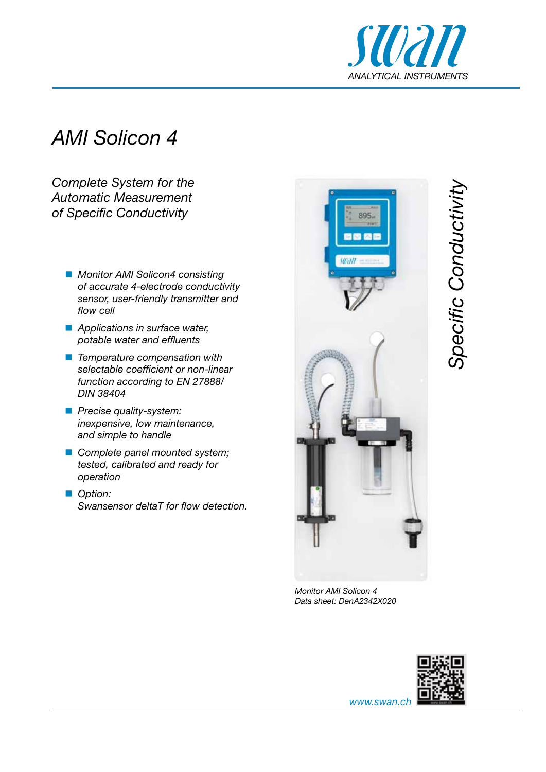

## *AMI Solicon 4*

*Complete System for the Automatic Measurement of Specific Conductivity*

- *Monitor AMI Solicon4 consisting of accurate 4-electrode conductivity sensor, user-friendly transmitter and flow cell*
- *Applications in surface water, potable water and effluents*
- *Temperature compensation with selectable coefficient or non-linear function according to EN 27888/ DIN 38404*
- *Precise quality-system: inexpensive, low maintenance, and simple to handle*
- *Complete panel mounted system; tested, calibrated and ready for operation*
- *Option: Swansensor deltaT for flow detection.*



*Specific Conductivity* **Specific Conductivit** 

*Monitor AMI Solicon 4 Data sheet: DenA2342X020*



*www.swan.ch*